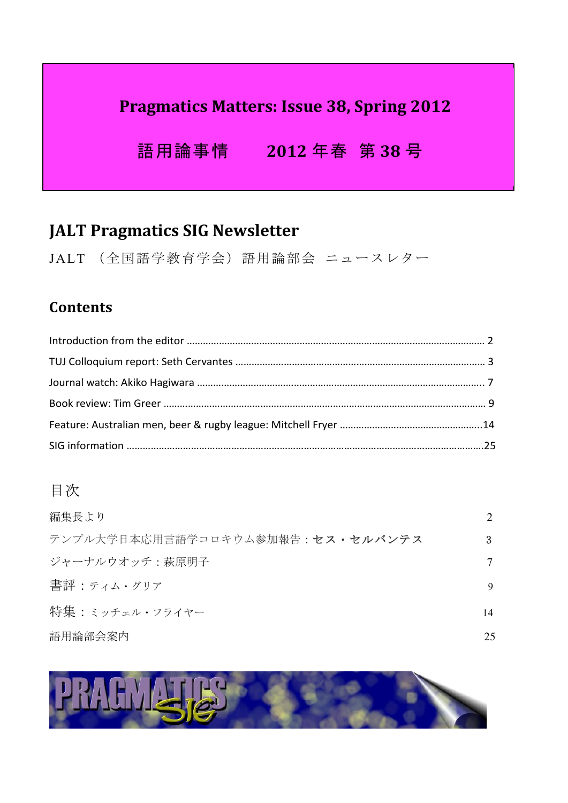# **Pragmatics Matters: Issue 38, Spring 2012**

 語用論事情 **2012** 年春 第 **38** 号

# **JALT Pragmatics SIG Newsletter**

JALT (全国語学教育学会)語用論部会 ニュースレター

## **Contents**

# 目次

| 編集長より                            |    |
|----------------------------------|----|
| テンプル大学日本応用言語学コロキウム参加報告:セス・セルバンテス | 3  |
| ジャーナルウオッチ:萩原明子                   |    |
| 書評:ティム・グリア                       | 9  |
| 特集 : ミッチェル・フライヤー                 | 14 |
| 語用論部会案内                          | 25 |

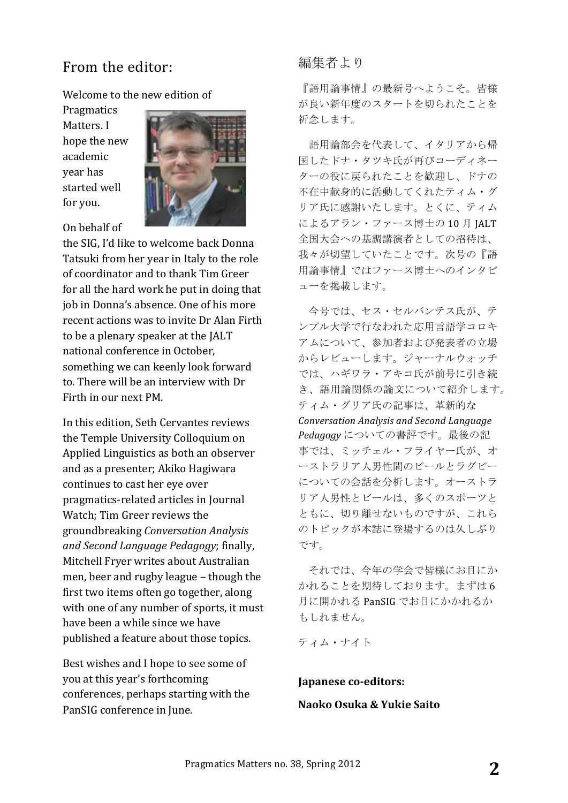### From the editor:

Welcome to the new edition of

Pragmatics Matters. I hope the new academic year has started well for you.



On behalf of

the SIG, I'd like to welcome back Donna Tatsuki from her year in Italy to the role of coordinator and to thank Tim Greer for all the hard work he put in doing that job in Donna's absence. One of his more recent actions was to invite Dr Alan Firth to be a plenary speaker at the JALT national conference in October. something we can keenly look forward to. There will be an interview with Dr Firth in our next PM

In this edition, Seth Cervantes reviews the Temple University Colloquium on Applied Linguistics as both an observer and as a presenter; Akiko Hagiwara continues to cast her eye over pragmatics-related articles in Journal Watch; Tim Greer reviews the groundbreaking *Conversation Analysis and Second Language Pedagogy*; finally, Mitchell Fryer writes about Australian men, beer and rugby league – though the first two items often go together, along with one of any number of sports, it must have been a while since we have published a feature about those topics.

Best wishes and I hope to see some of you at this year's forthcoming conferences, perhaps starting with the PanSIG conference in June.

#### 編集者より

『語用論事情』の最新号へようこそ。皆様 が良い新年度のスタートを切られたことを 祈念します。

語用論部会を代表して、イタリアから帰 国したドナ・タツキ氏が再びコーディネー ターの役に戻られたことを歓迎し、ドナの 不在中献身的に活動してくれたティム・グ リア氏に感謝いたします。とくに、ティム によるアラン・ファース博士の 10 月 JALT 全国大会への基調講演者としての招待は、 我々が切望していたことです。次号の『語 用論事情』ではファース博士へのインタビ ューを掲載します。

今号では、セス・セルバンテス氏が、テ ンプル大学で行なわれた応用言語学コロキ アムについて、参加者および発表者の立場 からレビューします。ジャーナルウォッチ では、ハギワラ・アキコ氏が前号に引き続 き、語用論関係の論文について紹介します。 ティム・グリア氏の記事は、革新的な *Conversation Analysis and Second Language Pedagogy* についての書評です。最後の記 事では、ミッチェル・フライヤー氏が、オ ーストラリア人男性間のビールとラグビー についての会話を分析します。オーストラ リア人男性とビールは、多くのスポーツと ともに、切り離せないものですが、これら のトピックが本誌に登場するのは久しぶり です。

それでは、今年の学会で皆様にお目にか かれることを期待しております。まずは 6 月に開かれる PanSIG でお目にかかれるか もしれません。

ティム・ナイト

**Japanese co-editors:** 

**Naoko Osuka & Yukie Saito**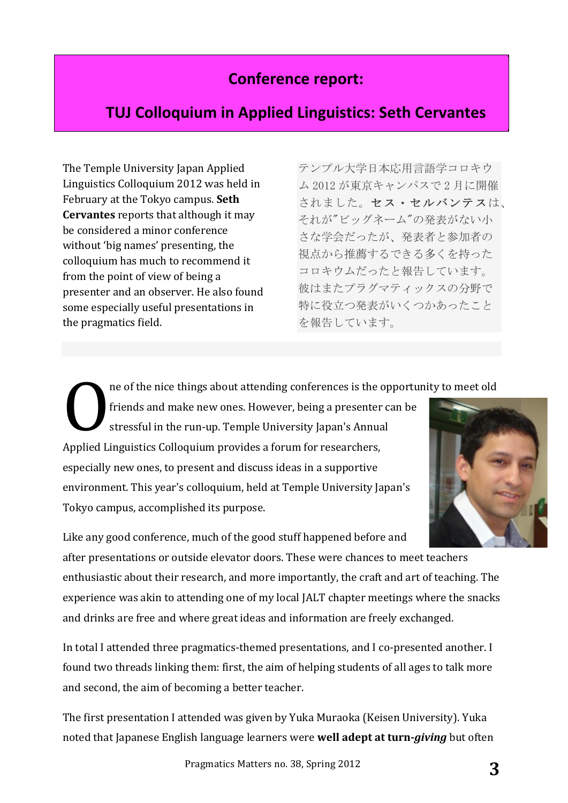# **Conference report:**

## **TUJ Colloquium in Applied Linguistics: Seth Cervantes**

The Temple University Japan Applied Linguistics Colloquium 2012 was held in February at the Tokyo campus. Seth **Cervantes** reports that although it may be considered a minor conference without 'big names' presenting, the colloquium has much to recommend it from the point of view of being a presenter and an observer. He also found some especially useful presentations in the pragmatics field.

テンプル大学日本応用言語学コロキウ ム 2012 が東京キャンパスで 2 月に開催 されました。セス・セルバンテスは、 それが"ビッグネーム"の発表がない小 さな学会だったが、発表者と参加者の 視点から推薦するできる多くを持った コロキウムだったと報告しています。 彼はまたプラグマティックスの分野で 特に役立つ発表がいくつかあったこと を報告しています。

ne of the nice things about attending conferences is the opportunity to meet old

friends and make new ones. However, being a presenter can be stressful in the run-up. Temple University Japan's Annual Applied Linguistics Colloquium provides a forum for researchers, especially new ones, to present and discuss ideas in a supportive environment. This year's colloquium, held at Temple University Japan's Tokyo campus, accomplished its purpose. O



Like any good conference, much of the good stuff happened before and after presentations or outside elevator doors. These were chances to meet teachers enthusiastic about their research, and more importantly, the craft and art of teaching. The experience was akin to attending one of my local JALT chapter meetings where the snacks and drinks are free and where great ideas and information are freely exchanged.

In total I attended three pragmatics-themed presentations, and I co-presented another. I found two threads linking them: first, the aim of helping students of all ages to talk more and second, the aim of becoming a better teacher.

The first presentation I attended was given by Yuka Muraoka (Keisen University). Yuka noted that Japanese English language learners were **well adept at turn-***giving* but often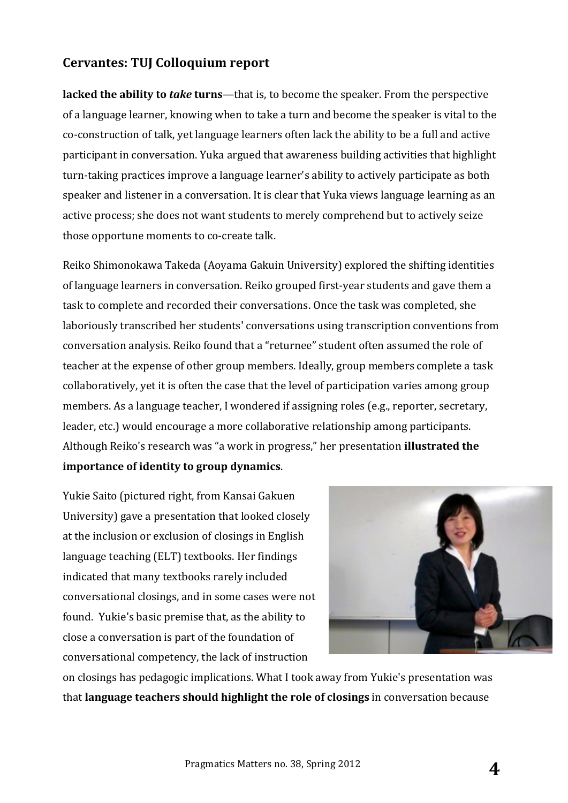#### **Cervantes: TUJ Colloquium report**

**lacked the ability to** *take* **turns**—that is, to become the speaker. From the perspective of a language learner, knowing when to take a turn and become the speaker is vital to the co-construction of talk, yet language learners often lack the ability to be a full and active participant in conversation. Yuka argued that awareness building activities that highlight turn-taking practices improve a language learner's ability to actively participate as both speaker and listener in a conversation. It is clear that Yuka views language learning as an active process; she does not want students to merely comprehend but to actively seize those opportune moments to co-create talk.

Reiko Shimonokawa Takeda (Aoyama Gakuin University) explored the shifting identities of language learners in conversation. Reiko grouped first-year students and gave them a task to complete and recorded their conversations. Once the task was completed, she laboriously transcribed her students' conversations using transcription conventions from conversation analysis. Reiko found that a "returnee" student often assumed the role of teacher at the expense of other group members. Ideally, group members complete a task collaboratively, yet it is often the case that the level of participation varies among group members. As a language teacher, I wondered if assigning roles (e.g., reporter, secretary, leader, etc.) would encourage a more collaborative relationship among participants. Although Reiko's research was "a work in progress," her presentation **illustrated the importance of identity to group dynamics**. 

Yukie Saito (pictured right, from Kansai Gakuen University) gave a presentation that looked closely at the inclusion or exclusion of closings in English language teaching (ELT) textbooks. Her findings indicated that many textbooks rarely included conversational closings, and in some cases were not found. Yukie's basic premise that, as the ability to close a conversation is part of the foundation of conversational competency, the lack of instruction



on closings has pedagogic implications. What I took away from Yukie's presentation was that **language teachers should highlight the role of closings** in conversation because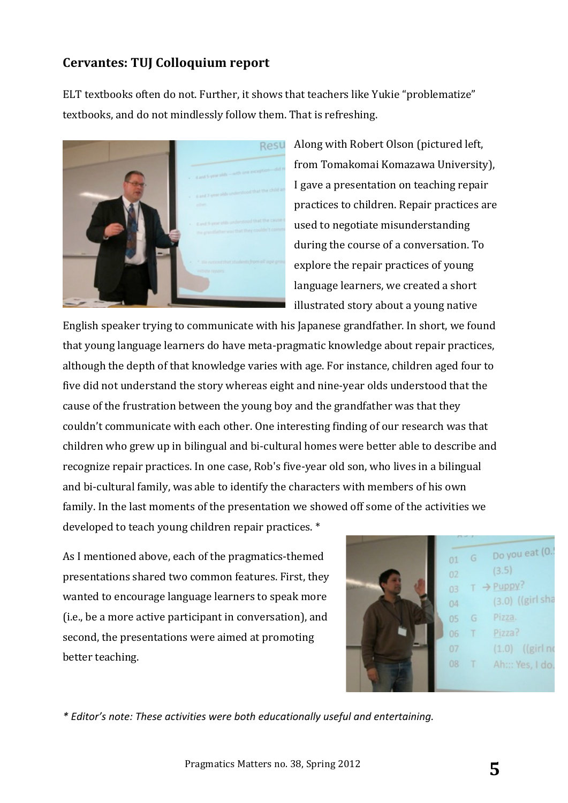#### **Cervantes: TUJ Colloquium report**

ELT textbooks often do not. Further, it shows that teachers like Yukie "problematize" textbooks, and do not mindlessly follow them. That is refreshing.



Along with Robert Olson (pictured left. from Tomakomai Komazawa University), I gave a presentation on teaching repair practices to children. Repair practices are used to negotiate misunderstanding during the course of a conversation. To explore the repair practices of young language learners, we created a short illustrated story about a young native

English speaker trying to communicate with his Japanese grandfather. In short, we found that young language learners do have meta-pragmatic knowledge about repair practices, although the depth of that knowledge varies with age. For instance, children aged four to five did not understand the story whereas eight and nine-year olds understood that the cause of the frustration between the young boy and the grandfather was that they couldn't communicate with each other. One interesting finding of our research was that children who grew up in bilingual and bi-cultural homes were better able to describe and recognize repair practices. In one case, Rob's five-year old son, who lives in a bilingual and bi-cultural family, was able to identify the characters with members of his own family. In the last moments of the presentation we showed off some of the activities we developed to teach young children repair practices. \*

As I mentioned above, each of the pragmatics-themed presentations shared two common features. First, they wanted to encourage language learners to speak more (i.e., be a more active participant in conversation), and second, the presentations were aimed at promoting better teaching.



*\* Editor's note: These activities were both educationally useful and entertaining.*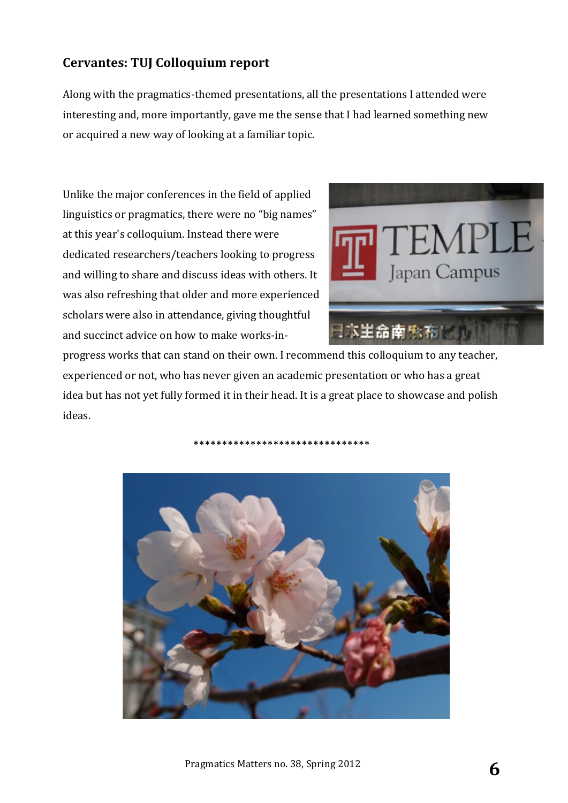### **Cervantes: TUJ Colloquium report**

Along with the pragmatics-themed presentations, all the presentations I attended were interesting and, more importantly, gave me the sense that I had learned something new or acquired a new way of looking at a familiar topic.

Unlike the major conferences in the field of applied linguistics or pragmatics, there were no "big names" at this year's colloquium. Instead there were dedicated researchers/teachers looking to progress and willing to share and discuss ideas with others. It was also refreshing that older and more experienced scholars were also in attendance, giving thoughtful and succinct advice on how to make works-in-



progress works that can stand on their own. I recommend this colloquium to any teacher, experienced or not, who has never given an academic presentation or who has a great idea but has not yet fully formed it in their head. It is a great place to showcase and polish ideas. 



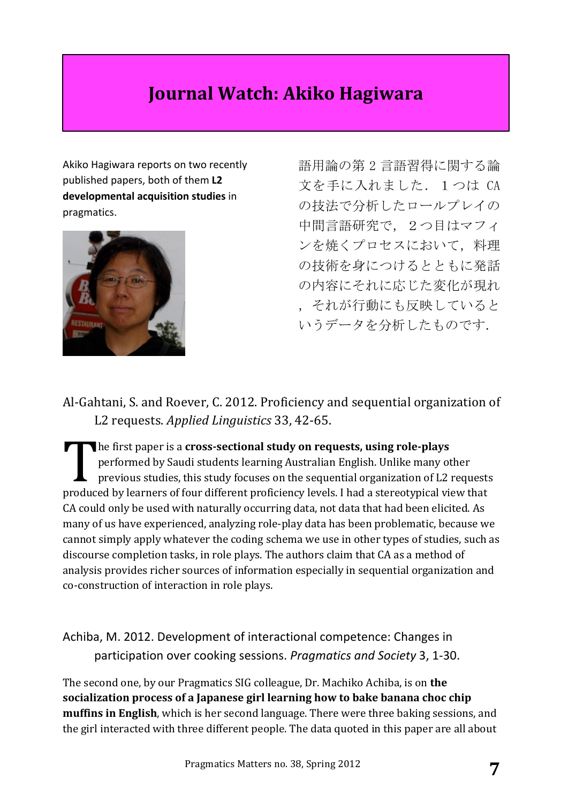# **Journal Watch: Akiko Hagiwara**

Akiko Hagiwara reports on two recently published papers, both of them L2 **developmental acquisition studies** in pragmatics. 



語用論の第 2 言語習得に関する論 文を手に入れました.1つは CA の技法で分析したロールプレイの 中間言語研究で,2つ目はマフィ ンを焼くプロセスにおいて,料理 の技術を身につけるとともに発話 の内容にそれに応じた変化が現れ ,それが行動にも反映していると いうデータを分析したものです.

Al-Gahtani, S. and Roever, C. 2012. Proficiency and sequential organization of L2 requests. *Applied Linguistics* 33, 42-65.

**he first paper is a cross-sectional study on requests, using role-plays** performed by Saudi students learning Australian English. Unlike many other previous studies, this study focuses on the sequential organization of L2 requests produced by learners of four different proficiency levels. I had a stereotypical view that CA could only be used with naturally occurring data, not data that had been elicited. As many of us have experienced, analyzing role-play data has been problematic, because we cannot simply apply whatever the coding schema we use in other types of studies, such as discourse completion tasks, in role plays. The authors claim that CA as a method of analysis provides richer sources of information especially in sequential organization and co-construction of interaction in role plays. T<br>medus

Achiba, M. 2012. Development of interactional competence: Changes in participation over cooking sessions. *Pragmatics and Society* 3, 1-30.

The second one, by our Pragmatics SIG colleague, Dr. Machiko Achiba, is on **the** socialization process of a Japanese girl learning how to bake banana choc chip **muffins in English**, which is her second language. There were three baking sessions, and the girl interacted with three different people. The data quoted in this paper are all about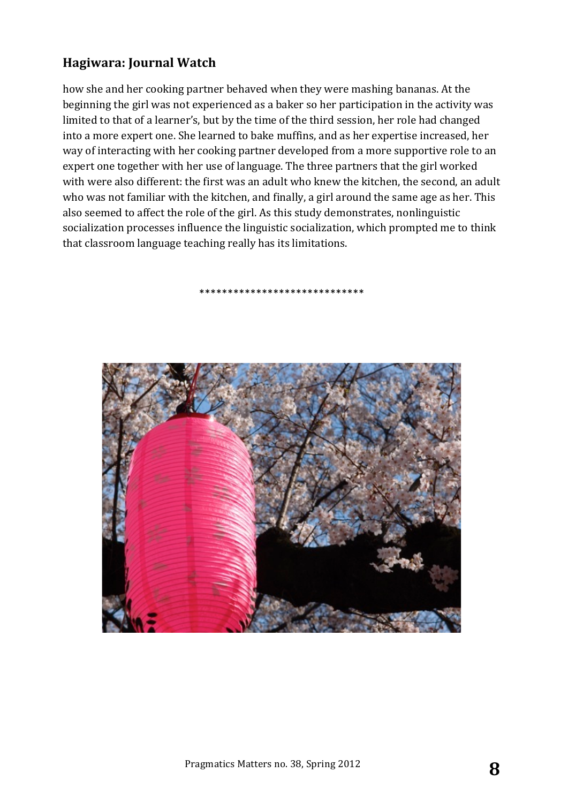### **Hagiwara: Journal Watch**

how she and her cooking partner behaved when they were mashing bananas. At the beginning the girl was not experienced as a baker so her participation in the activity was limited to that of a learner's, but by the time of the third session, her role had changed into a more expert one. She learned to bake muffins, and as her expertise increased, her way of interacting with her cooking partner developed from a more supportive role to an expert one together with her use of language. The three partners that the girl worked with were also different: the first was an adult who knew the kitchen, the second, an adult who was not familiar with the kitchen, and finally, a girl around the same age as her. This also seemed to affect the role of the girl. As this study demonstrates, nonlinguistic socialization processes influence the linguistic socialization, which prompted me to think that classroom language teaching really has its limitations.

\*\*\*\*\*\*\*\*\*\*\*\*\*\*\*\*\*\*\*\*\*\*\*\*\*\*\*\*\*

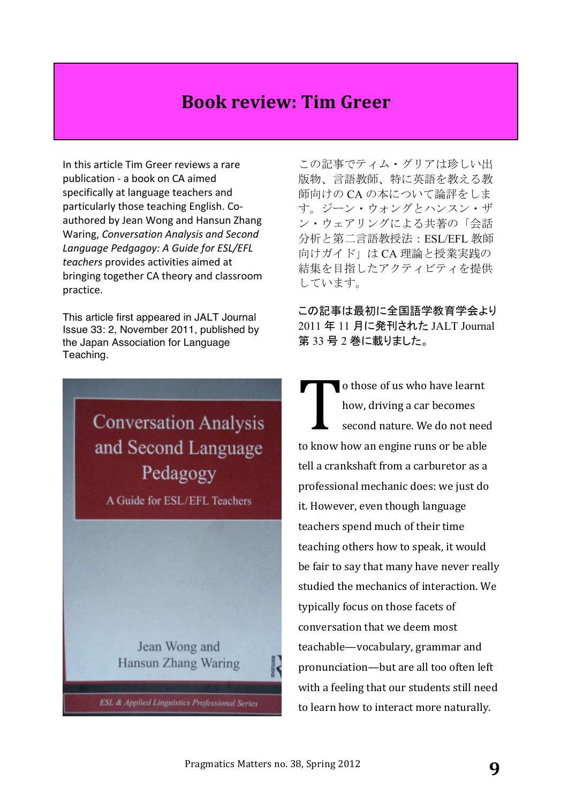# **Book review: Tim Greer**

In this article Tim Greer reviews a rare publication - a book on CA aimed specifically at language teachers and particularly those teaching English. Coauthored by Jean Wong and Hansun Zhang Waring, *Conversation Analysis and Second* Language Pedgagoy: A Guide for ESL/EFL *teachers* provides activities aimed at bringing together CA theory and classroom practice.

This article first appeared in JALT Journal Issue 33: 2, November 2011, published by the Japan Association for Language Teaching.

> **Conversation Analysis** and Second Language Pedagogy

A Guide for ESL/EFL Teachers

Jean Wong and Hansun Zhang Waring

**ESL & Applied Linguistics Professional Series** 

この記事でティム・グリアは珍しい出 版物、言語教師、特に英語を教える教 師向けの CA の本について論評をしま す。ジーン・ウォングとハンスン・ザ ン・ウェアリングによる共著の「会話 分析と第二言語教授法:ESL/EFL 教師 向けガイド」は CA 理論と授業実践の 結集を目指したアクティビティを提供 しています。

この記事は最初に全国語学教育学会より 2011 年 11 月に発刊された JALT Journal 第 33 号 2 巻に載りました。

o those of us who have learnt how, driving a car becomes second nature. We do not need to know how an engine runs or be able tell a crankshaft from a carburetor as a professional mechanic does: we just do it. However, even though language teachers spend much of their time teaching others how to speak, it would be fair to say that many have never really studied the mechanics of interaction. We typically focus on those facets of conversation that we deem most teachable—vocabulary, grammar and pronunciation—but are all too often left with a feeling that our students still need to learn how to interact more naturally. T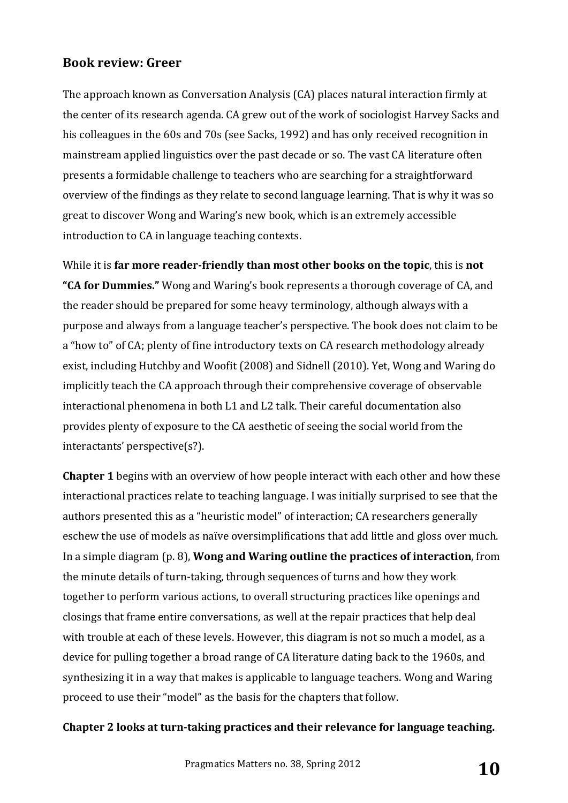The approach known as Conversation Analysis (CA) places natural interaction firmly at the center of its research agenda. CA grew out of the work of sociologist Harvey Sacks and his colleagues in the 60s and 70s (see Sacks, 1992) and has only received recognition in mainstream applied linguistics over the past decade or so. The vast CA literature often presents a formidable challenge to teachers who are searching for a straightforward overview of the findings as they relate to second language learning. That is why it was so great to discover Wong and Waring's new book, which is an extremely accessible introduction to CA in language teaching contexts.

While it is far more reader-friendly than most other books on the topic, this is not **"CA for Dummies."** Wong and Waring's book represents a thorough coverage of CA, and the reader should be prepared for some heavy terminology, although always with a purpose and always from a language teacher's perspective. The book does not claim to be a "how to" of CA; plenty of fine introductory texts on CA research methodology already exist, including Hutchby and Woofit (2008) and Sidnell (2010). Yet, Wong and Waring do implicitly teach the CA approach through their comprehensive coverage of observable interactional phenomena in both L1 and L2 talk. Their careful documentation also provides plenty of exposure to the CA aesthetic of seeing the social world from the interactants' perspective(s?).

**Chapter 1** begins with an overview of how people interact with each other and how these interactional practices relate to teaching language. I was initially surprised to see that the authors presented this as a "heuristic model" of interaction; CA researchers generally eschew the use of models as naïve oversimplifications that add little and gloss over much. In a simple diagram (p. 8), **Wong and Waring outline the practices of interaction**, from the minute details of turn-taking, through sequences of turns and how they work together to perform various actions, to overall structuring practices like openings and closings that frame entire conversations, as well at the repair practices that help deal with trouble at each of these levels. However, this diagram is not so much a model, as a device for pulling together a broad range of CA literature dating back to the 1960s, and synthesizing it in a way that makes is applicable to language teachers. Wong and Waring proceed to use their "model" as the basis for the chapters that follow.

#### **Chapter 2 looks at turn-taking practices and their relevance for language teaching.**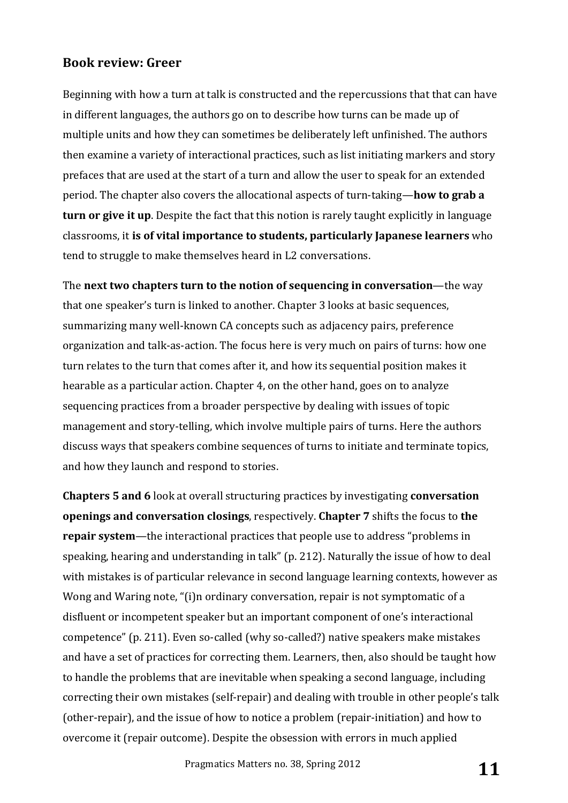Beginning with how a turn at talk is constructed and the repercussions that that can have in different languages, the authors go on to describe how turns can be made up of multiple units and how they can sometimes be deliberately left unfinished. The authors then examine a variety of interactional practices, such as list initiating markers and story prefaces that are used at the start of a turn and allow the user to speak for an extended period. The chapter also covers the allocational aspects of turn-taking—**how to grab a turn or give it up**. Despite the fact that this notion is rarely taught explicitly in language classrooms, it is of vital importance to students, particularly Japanese learners who tend to struggle to make themselves heard in L2 conversations.

The **next two chapters turn to the notion of sequencing in conversation—the way** that one speaker's turn is linked to another. Chapter 3 looks at basic sequences, summarizing many well-known CA concepts such as adjacency pairs, preference organization and talk-as-action. The focus here is very much on pairs of turns: how one turn relates to the turn that comes after it, and how its sequential position makes it hearable as a particular action. Chapter 4, on the other hand, goes on to analyze sequencing practices from a broader perspective by dealing with issues of topic management and story-telling, which involve multiple pairs of turns. Here the authors discuss ways that speakers combine sequences of turns to initiate and terminate topics, and how they launch and respond to stories.

**Chapters 5 and 6** look at overall structuring practices by investigating **conversation openings and conversation closings**, respectively. **Chapter 7** shifts the focus to the **repair system**—the interactional practices that people use to address "problems in speaking, hearing and understanding in talk" (p. 212). Naturally the issue of how to deal with mistakes is of particular relevance in second language learning contexts, however as Wong and Waring note, "(i)n ordinary conversation, repair is not symptomatic of a disfluent or incompetent speaker but an important component of one's interactional competence" (p. 211). Even so-called (why so-called?) native speakers make mistakes and have a set of practices for correcting them. Learners, then, also should be taught how to handle the problems that are inevitable when speaking a second language, including correcting their own mistakes (self-repair) and dealing with trouble in other people's talk (other-repair), and the issue of how to notice a problem (repair-initiation) and how to overcome it (repair outcome). Despite the obsession with errors in much applied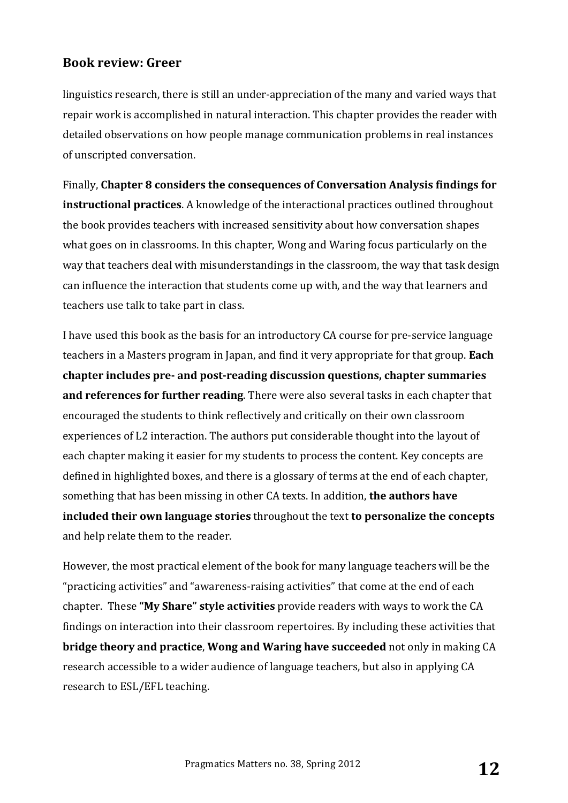linguistics research, there is still an under-appreciation of the many and varied ways that repair work is accomplished in natural interaction. This chapter provides the reader with detailed observations on how people manage communication problems in real instances of unscripted conversation.

Finally, Chapter 8 considers the consequences of Conversation Analysis findings for **instructional practices**. A knowledge of the interactional practices outlined throughout the book provides teachers with increased sensitivity about how conversation shapes what goes on in classrooms. In this chapter, Wong and Waring focus particularly on the way that teachers deal with misunderstandings in the classroom, the way that task design can influence the interaction that students come up with, and the way that learners and teachers use talk to take part in class.

I have used this book as the basis for an introductory CA course for pre-service language teachers in a Masters program in Japan, and find it very appropriate for that group. **Each** chapter includes pre- and post-reading discussion questions, chapter summaries **and references for further reading**. There were also several tasks in each chapter that encouraged the students to think reflectively and critically on their own classroom experiences of L2 interaction. The authors put considerable thought into the layout of each chapter making it easier for my students to process the content. Key concepts are defined in highlighted boxes, and there is a glossary of terms at the end of each chapter, something that has been missing in other CA texts. In addition, **the authors have included their own language stories** throughout the text **to personalize the concepts** and help relate them to the reader.

However, the most practical element of the book for many language teachers will be the "practicing activities" and "awareness-raising activities" that come at the end of each chapter. These "My **Share"** style activities provide readers with ways to work the CA findings on interaction into their classroom repertoires. By including these activities that **bridge theory and practice, Wong and Waring have succeeded** not only in making CA research accessible to a wider audience of language teachers, but also in applying CA research to ESL/EFL teaching.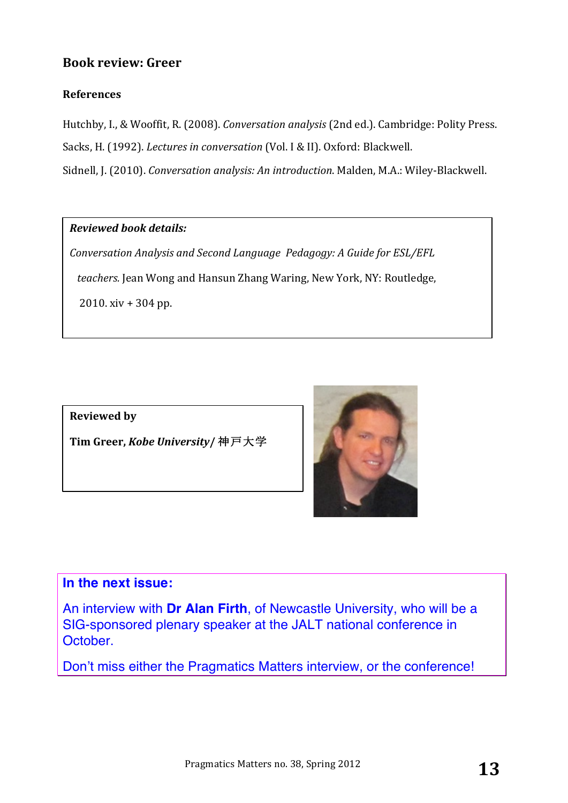#### **References**

Hutchby, I., & Wooffit, R. (2008). *Conversation analysis* (2nd ed.). Cambridge: Polity Press. Sacks, H. (1992). *Lectures in conversation* (Vol. I & II). Oxford: Blackwell. Sidnell, J. (2010). *Conversation analysis: An introduction*. Malden, M.A.: Wiley-Blackwell.

#### *Reviewed book details:*

*Conversation Analysis and Second Language Pedagogy: A Guide for ESL/EFL teachers.* Jean Wong and Hansun Zhang Waring, New York, NY: Routledge,  $2010. xiv + 304 pp.$ 

**Reviewed** by

**Tim Greer,** *Kobe University***/** 神戸大学



#### **In the next issue:**

An interview with **Dr Alan Firth**, of Newcastle University, who will be a SIG-sponsored plenary speaker at the JALT national conference in October.

Don't miss either the Pragmatics Matters interview, or the conference!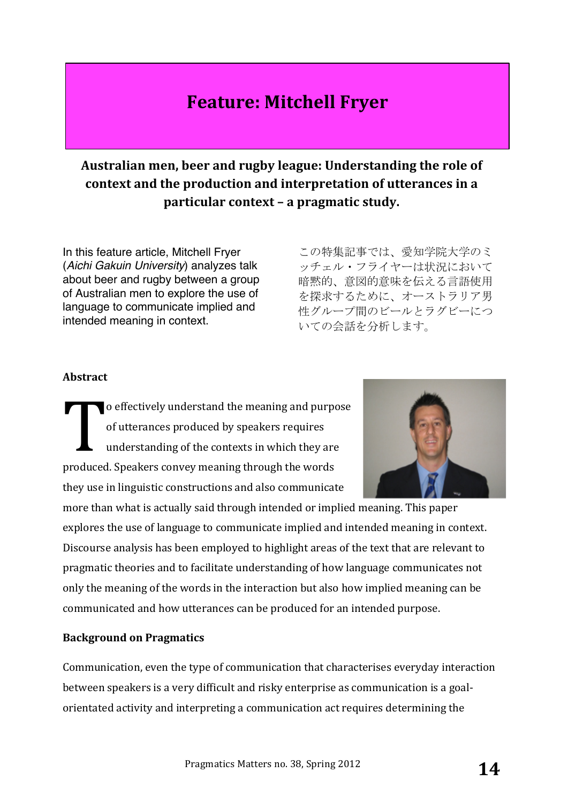# **Feature: Mitchell Fryer**

## Australian men, beer and rugby league: Understanding the role of context and the production and interpretation of utterances in a **particular context – a pragmatic study.**

In this feature article, Mitchell Fryer (*Aichi Gakuin University*) analyzes talk about beer and rugby between a group of Australian men to explore the use of language to communicate implied and intended meaning in context.

この特集記事では、愛知学院大学のミ ッチェル・フライヤーは状況において 暗黙的、意図的意味を伝える言語使用 を探求するために、オーストラリア男 性グループ間のビールとラグビーにつ いての会話を分析します。

#### **Abstract**

o effectively understand the meaning and purpose of utterances produced by speakers requires understanding of the contexts in which they are produced. Speakers convey meaning through the words they use in linguistic constructions and also communicate T

more than what is actually said through intended or implied meaning. This paper explores the use of language to communicate implied and intended meaning in context. Discourse analysis has been employed to highlight areas of the text that are relevant to pragmatic theories and to facilitate understanding of how language communicates not only the meaning of the words in the interaction but also how implied meaning can be communicated and how utterances can be produced for an intended purpose.

#### **Background on Pragmatics**

Communication, even the type of communication that characterises everyday interaction between speakers is a very difficult and risky enterprise as communication is a goalorientated activity and interpreting a communication act requires determining the

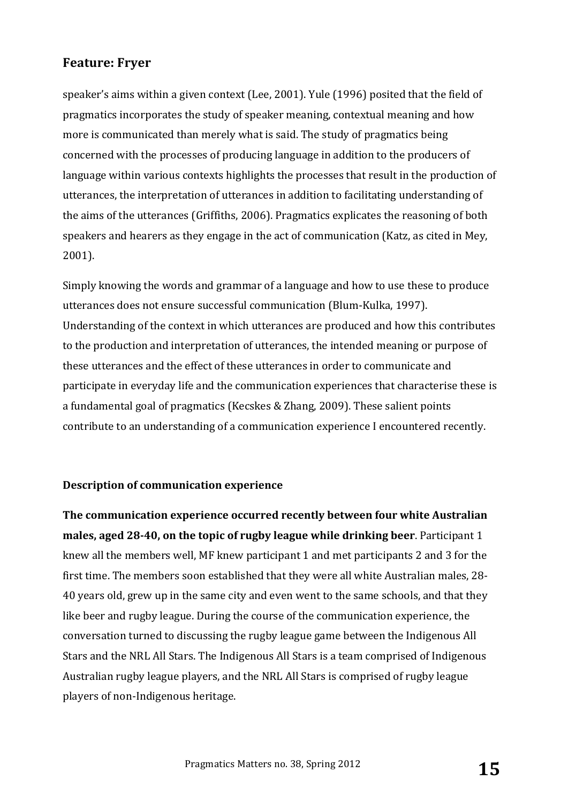speaker's aims within a given context (Lee, 2001). Yule (1996) posited that the field of pragmatics incorporates the study of speaker meaning, contextual meaning and how more is communicated than merely what is said. The study of pragmatics being concerned with the processes of producing language in addition to the producers of language within various contexts highlights the processes that result in the production of utterances, the interpretation of utterances in addition to facilitating understanding of the aims of the utterances (Griffiths, 2006). Pragmatics explicates the reasoning of both speakers and hearers as they engage in the act of communication (Katz, as cited in Mey, 2001).

Simply knowing the words and grammar of a language and how to use these to produce utterances does not ensure successful communication (Blum-Kulka, 1997). Understanding of the context in which utterances are produced and how this contributes to the production and interpretation of utterances, the intended meaning or purpose of these utterances and the effect of these utterances in order to communicate and participate in everyday life and the communication experiences that characterise these is a fundamental goal of pragmatics (Kecskes & Zhang, 2009). These salient points contribute to an understanding of a communication experience I encountered recently.

#### **Description of communication experience**

**The communication experience occurred recently between four white Australian males, aged 28-40, on the topic of rugby league while drinking beer**. Participant 1 knew all the members well, MF knew participant 1 and met participants 2 and 3 for the first time. The members soon established that they were all white Australian males, 28-40 years old, grew up in the same city and even went to the same schools, and that they like beer and rugby league. During the course of the communication experience, the conversation turned to discussing the rugby league game between the Indigenous All Stars and the NRL All Stars. The Indigenous All Stars is a team comprised of Indigenous Australian rugby league players, and the NRL All Stars is comprised of rugby league players of non-Indigenous heritage.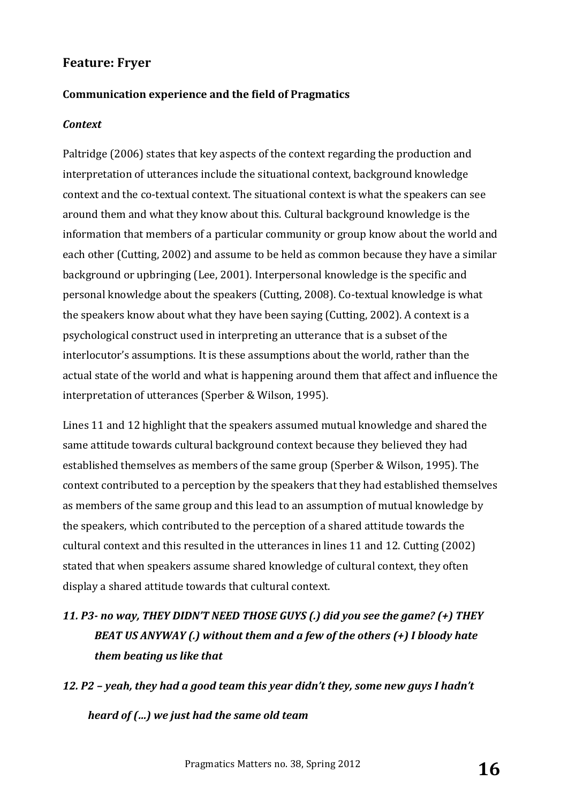#### Communication experience and the field of Pragmatics

#### *Context*

Paltridge (2006) states that key aspects of the context regarding the production and interpretation of utterances include the situational context, background knowledge context and the co-textual context. The situational context is what the speakers can see around them and what they know about this. Cultural background knowledge is the information that members of a particular community or group know about the world and each other (Cutting, 2002) and assume to be held as common because they have a similar background or upbringing (Lee, 2001). Interpersonal knowledge is the specific and personal knowledge about the speakers (Cutting, 2008). Co-textual knowledge is what the speakers know about what they have been saying (Cutting, 2002). A context is a psychological construct used in interpreting an utterance that is a subset of the interlocutor's assumptions. It is these assumptions about the world, rather than the actual state of the world and what is happening around them that affect and influence the interpretation of utterances (Sperber & Wilson, 1995).

Lines 11 and 12 highlight that the speakers assumed mutual knowledge and shared the same attitude towards cultural background context because they believed they had established themselves as members of the same group (Sperber & Wilson, 1995). The context contributed to a perception by the speakers that they had established themselves as members of the same group and this lead to an assumption of mutual knowledge by the speakers, which contributed to the perception of a shared attitude towards the cultural context and this resulted in the utterances in lines 11 and 12. Cutting  $(2002)$ stated that when speakers assume shared knowledge of cultural context, they often display a shared attitude towards that cultural context.

# 11. P3- no way, THEY DIDN'T NEED THOSE GUYS (.) did you see the game? (+) THEY *BEAT US ANYWAY (.)* without them and a few of the others (+) I bloody hate *them beating us like that*

12. P2 – yeah, they had a good team this year didn't they, some new guys I hadn't *heard of (...)* we just had the same old team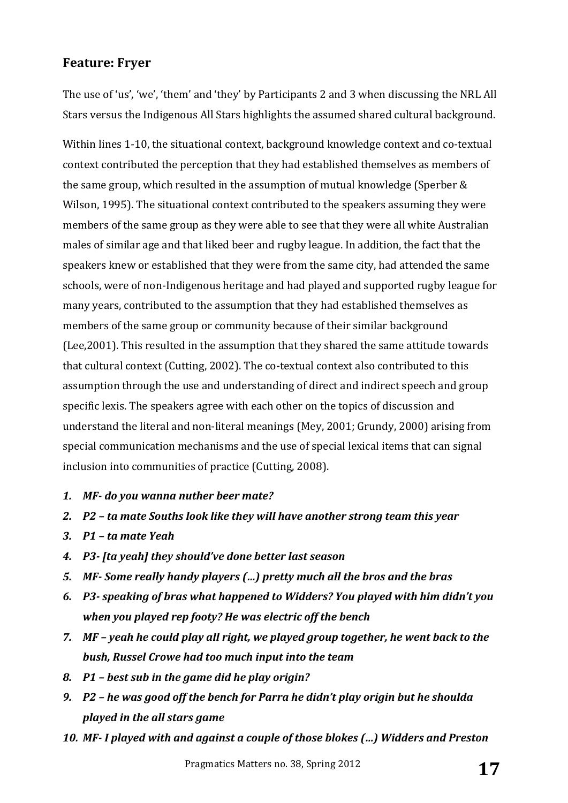The use of 'us', 'we', 'them' and 'they' by Participants 2 and 3 when discussing the NRL All Stars versus the Indigenous All Stars highlights the assumed shared cultural background.

Within lines 1-10, the situational context, background knowledge context and co-textual context contributed the perception that they had established themselves as members of the same group, which resulted in the assumption of mutual knowledge (Sperber  $&$ Wilson, 1995). The situational context contributed to the speakers assuming they were members of the same group as they were able to see that they were all white Australian males of similar age and that liked beer and rugby league. In addition, the fact that the speakers knew or established that they were from the same city, had attended the same schools, were of non-Indigenous heritage and had played and supported rugby league for many years, contributed to the assumption that they had established themselves as members of the same group or community because of their similar background (Lee,  $2001$ ). This resulted in the assumption that they shared the same attitude towards that cultural context (Cutting, 2002). The co-textual context also contributed to this assumption through the use and understanding of direct and indirect speech and group specific lexis. The speakers agree with each other on the topics of discussion and understand the literal and non-literal meanings (Mey, 2001; Grundy, 2000) arising from special communication mechanisms and the use of special lexical items that can signal inclusion into communities of practice (Cutting, 2008).

- *1. MF- do you wanna nuther beer mate?*
- 2. **P2** ta mate Souths look like they will have another strong team this year
- *3. P1 – ta mate Yeah*
- *4. P3- [ta yeah] they should've done better last season*
- *5.* MF- Some really handy players (...) pretty much all the bros and the bras
- 6. P3- *speaking of bras what happened to Widders? You played with him didn't you when you played rep footy? He was electric off the bench*
- *7.* MF yeah he could play all right, we played group together, he went back to the **bush, Russel Crowe had too much input into the team**
- *8. P1 – best sub in the game did he play origin?*
- *9. P2* **he was good off the bench for Parra he didn't play origin but he shoulda** *played in the all stars game*
- 10. MF-I played with and against a couple of those blokes (...) Widders and Preston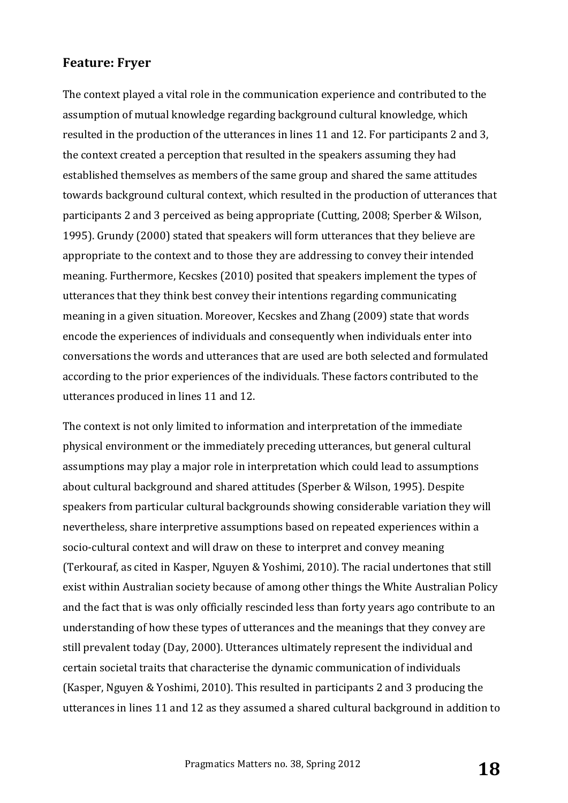The context played a vital role in the communication experience and contributed to the assumption of mutual knowledge regarding background cultural knowledge, which resulted in the production of the utterances in lines 11 and 12. For participants 2 and 3, the context created a perception that resulted in the speakers assuming they had established themselves as members of the same group and shared the same attitudes towards background cultural context, which resulted in the production of utterances that participants 2 and 3 perceived as being appropriate (Cutting, 2008; Sperber & Wilson, 1995). Grundy (2000) stated that speakers will form utterances that they believe are appropriate to the context and to those they are addressing to convey their intended meaning. Furthermore, Kecskes (2010) posited that speakers implement the types of utterances that they think best convey their intentions regarding communicating meaning in a given situation. Moreover, Kecskes and Zhang (2009) state that words encode the experiences of individuals and consequently when individuals enter into conversations the words and utterances that are used are both selected and formulated according to the prior experiences of the individuals. These factors contributed to the utterances produced in lines 11 and 12.

The context is not only limited to information and interpretation of the immediate physical environment or the immediately preceding utterances, but general cultural assumptions may play a major role in interpretation which could lead to assumptions about cultural background and shared attitudes (Sperber & Wilson, 1995). Despite speakers from particular cultural backgrounds showing considerable variation they will nevertheless, share interpretive assumptions based on repeated experiences within a socio-cultural context and will draw on these to interpret and convey meaning (Terkouraf, as cited in Kasper, Nguyen & Yoshimi, 2010). The racial undertones that still exist within Australian society because of among other things the White Australian Policy and the fact that is was only officially rescinded less than forty years ago contribute to an understanding of how these types of utterances and the meanings that they convey are still prevalent today (Day, 2000). Utterances ultimately represent the individual and certain societal traits that characterise the dynamic communication of individuals (Kasper, Nguyen & Yoshimi, 2010). This resulted in participants 2 and 3 producing the utterances in lines 11 and 12 as they assumed a shared cultural background in addition to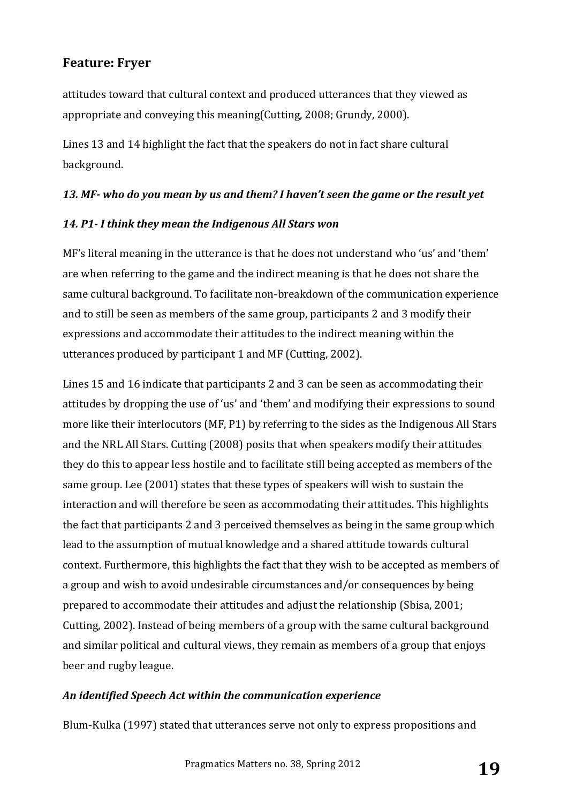attitudes toward that cultural context and produced utterances that they viewed as appropriate and conveying this meaning(Cutting, 2008; Grundy, 2000).

Lines 13 and 14 highlight the fact that the speakers do not in fact share cultural background. 

#### 13. MF- who do you mean by us and them? I haven't seen the game or the result yet

#### 14. P1- I think they mean the Indigenous All Stars won

MF's literal meaning in the utterance is that he does not understand who 'us' and 'them' are when referring to the game and the indirect meaning is that he does not share the same cultural background. To facilitate non-breakdown of the communication experience and to still be seen as members of the same group, participants 2 and 3 modify their expressions and accommodate their attitudes to the indirect meaning within the utterances produced by participant 1 and MF (Cutting, 2002).

Lines 15 and 16 indicate that participants 2 and 3 can be seen as accommodating their attitudes by dropping the use of 'us' and 'them' and modifying their expressions to sound more like their interlocutors  $(MF, P1)$  by referring to the sides as the Indigenous All Stars and the NRL All Stars. Cutting (2008) posits that when speakers modify their attitudes they do this to appear less hostile and to facilitate still being accepted as members of the same group. Lee (2001) states that these types of speakers will wish to sustain the interaction and will therefore be seen as accommodating their attitudes. This highlights the fact that participants 2 and 3 perceived themselves as being in the same group which lead to the assumption of mutual knowledge and a shared attitude towards cultural context. Furthermore, this highlights the fact that they wish to be accepted as members of a group and wish to avoid undesirable circumstances and/or consequences by being prepared to accommodate their attitudes and adjust the relationship (Sbisa, 2001; Cutting, 2002). Instead of being members of a group with the same cultural background and similar political and cultural views, they remain as members of a group that enjoys beer and rugby league.

#### *An identified Speech Act within the communication experience*

Blum-Kulka (1997) stated that utterances serve not only to express propositions and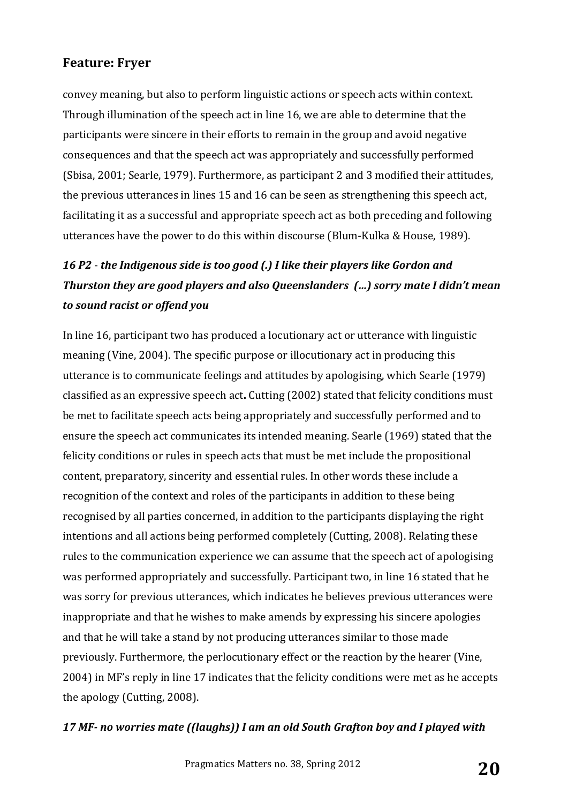convey meaning, but also to perform linguistic actions or speech acts within context. Through illumination of the speech act in line 16, we are able to determine that the participants were sincere in their efforts to remain in the group and avoid negative consequences and that the speech act was appropriately and successfully performed (Sbisa, 2001; Searle, 1979). Furthermore, as participant 2 and 3 modified their attitudes, the previous utterances in lines 15 and 16 can be seen as strengthening this speech act, facilitating it as a successful and appropriate speech act as both preceding and following utterances have the power to do this within discourse (Blum-Kulka & House, 1989).

## 16 P2 - *the Indigenous side is too good (.)* I like their players like Gordon and *Thurston they are good players and also Queenslanders (...) sorry mate I didn't mean to sound racist or offend you*

In line 16, participant two has produced a locutionary act or utterance with linguistic meaning (Vine, 2004). The specific purpose or illocutionary act in producing this utterance is to communicate feelings and attitudes by apologising, which Searle (1979) classified as an expressive speech act. Cutting (2002) stated that felicity conditions must be met to facilitate speech acts being appropriately and successfully performed and to ensure the speech act communicates its intended meaning. Searle (1969) stated that the felicity conditions or rules in speech acts that must be met include the propositional content, preparatory, sincerity and essential rules. In other words these include a recognition of the context and roles of the participants in addition to these being recognised by all parties concerned, in addition to the participants displaying the right intentions and all actions being performed completely (Cutting, 2008). Relating these rules to the communication experience we can assume that the speech act of apologising was performed appropriately and successfully. Participant two, in line 16 stated that he was sorry for previous utterances, which indicates he believes previous utterances were inappropriate and that he wishes to make amends by expressing his sincere apologies and that he will take a stand by not producing utterances similar to those made previously. Furthermore, the perlocutionary effect or the reaction by the hearer (Vine, 2004) in MF's reply in line 17 indicates that the felicity conditions were met as he accepts the apology (Cutting, 2008).

#### 17 MF- no worries mate ((laughs)) I am an old South Grafton boy and I played with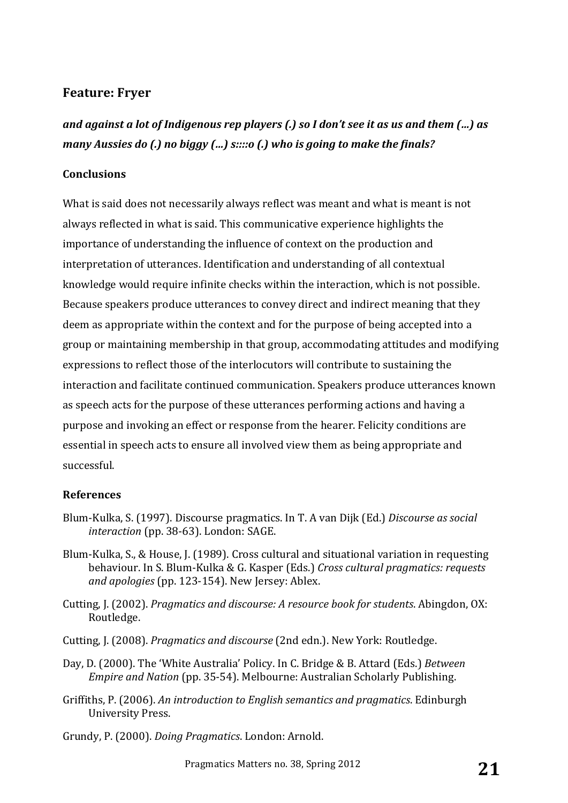*and against a lot of Indigenous rep players (.) so I don't see it as us and them (...) as many Aussies do (.) no biggy (...) s::::o (.)* who is going to make the finals?

#### **Conclusions**

What is said does not necessarily always reflect was meant and what is meant is not always reflected in what is said. This communicative experience highlights the importance of understanding the influence of context on the production and interpretation of utterances. Identification and understanding of all contextual knowledge would require infinite checks within the interaction, which is not possible. Because speakers produce utterances to convey direct and indirect meaning that they deem as appropriate within the context and for the purpose of being accepted into a group or maintaining membership in that group, accommodating attitudes and modifying expressions to reflect those of the interlocutors will contribute to sustaining the interaction and facilitate continued communication. Speakers produce utterances known as speech acts for the purpose of these utterances performing actions and having a purpose and invoking an effect or response from the hearer. Felicity conditions are essential in speech acts to ensure all involved view them as being appropriate and successful.

#### **References**

- Blum-Kulka, S. (1997). Discourse pragmatics. In T. A van Dijk (Ed.) *Discourse as social interaction* (pp. 38-63). London: SAGE.
- Blum-Kulka, S., & House, J. (1989). Cross cultural and situational variation in requesting behaviour. In S. Blum-Kulka & G. Kasper (Eds.) *Cross cultural pragmatics: requests* and apologies (pp. 123-154). New Jersey: Ablex.
- Cutting, J. (2002). *Pragmatics and discourse: A resource book for students*. Abingdon, OX: Routledge.
- Cutting, J. (2008). *Pragmatics and discourse* (2nd edn.). New York: Routledge.
- Day, D. (2000). The 'White Australia' Policy. In C. Bridge & B. Attard (Eds.) *Between Empire and Nation* (pp. 35-54). Melbourne: Australian Scholarly Publishing.
- Griffiths, P. (2006). An introduction to English semantics and pragmatics. Edinburgh University Press.
- Grundy, P. (2000). *Doing Pragmatics*. London: Arnold.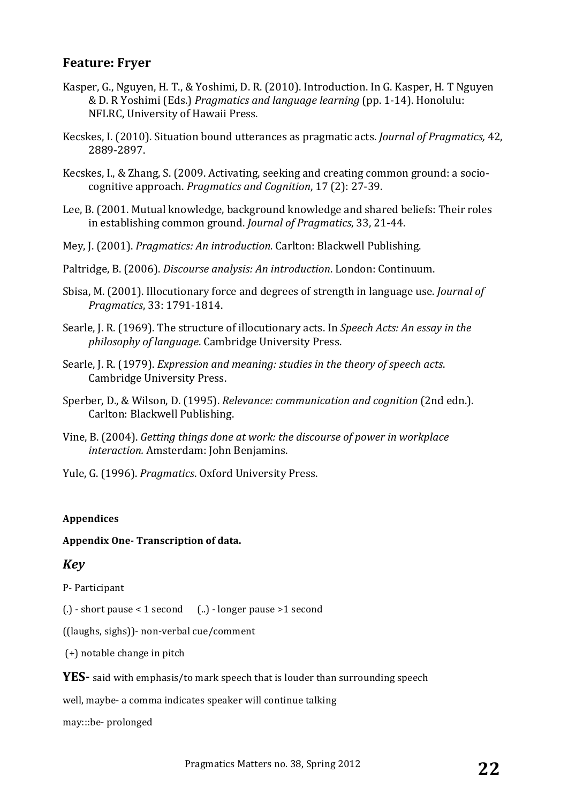- Kasper, G., Nguyen, H. T., & Yoshimi, D. R. (2010). Introduction. In G. Kasper, H. T Nguyen & D. R Yoshimi (Eds.) *Pragmatics and language learning* (pp. 1-14). Honolulu: NFLRC, University of Hawaii Press.
- Kecskes, I. (2010). Situation bound utterances as pragmatic acts. *Journal of Pragmatics*, 42, 2889-2897.
- Kecskes, I., & Zhang, S. (2009. Activating, seeking and creating common ground: a sociocognitive approach. *Pragmatics and Cognition*, 17 (2): 27-39.
- Lee, B. (2001. Mutual knowledge, background knowledge and shared beliefs: Their roles in establishing common ground. *Journal of Pragmatics*, 33, 21-44.
- Mey, J. (2001). *Pragmatics: An introduction.* Carlton: Blackwell Publishing.
- Paltridge, B. (2006). *Discourse analysis: An introduction*. London: Continuum.
- Sbisa, M. (2001). Illocutionary force and degrees of strength in language use. *Journal of Pragmatics*, 33: 1791-1814.
- Searle, J. R. (1969). The structure of illocutionary acts. In *Speech Acts: An essay in the philosophy of language*. Cambridge University Press.
- Searle, J. R. (1979). *Expression and meaning: studies in the theory of speech acts.* Cambridge University Press.
- Sperber, D., & Wilson, D. (1995). *Relevance: communication and cognition* (2nd edn.). Carlton: Blackwell Publishing.
- Vine, B. (2004). *Getting things done at work: the discourse of power in workplace interaction.* Amsterdam: John Benjamins.
- Yule, G. (1996). *Pragmatics*. Oxford University Press.

#### **Appendices**

#### **Appendix One- Transcription of data.**

#### *Key*

P- Participant

 $(.) - short$  pause < 1 second  $(.) - longer$  pause >1 second

 $($ [ $|$ aughs, sighs $|$ ] $-$  non-verbal cue/comment

 $(+)$  notable change in pitch

**YES**- said with emphasis/to mark speech that is louder than surrounding speech

well, maybe- a comma indicates speaker will continue talking

may:::be- prolonged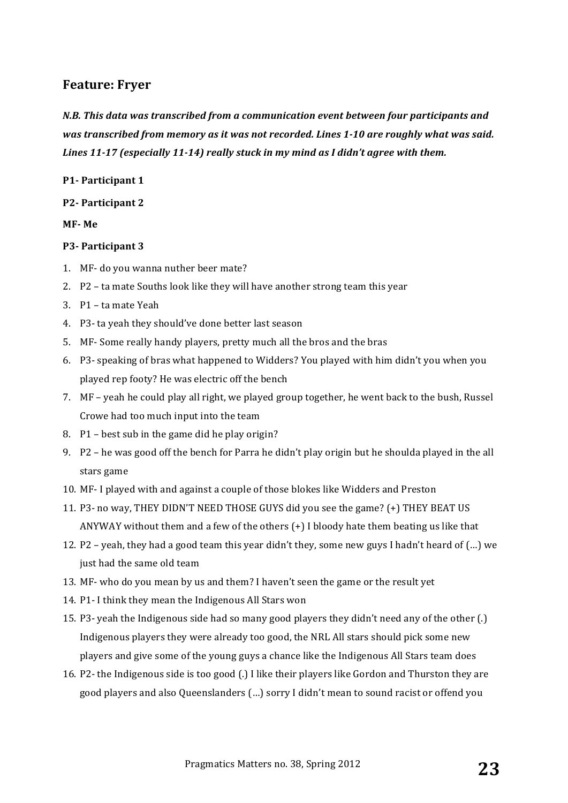*N.B.* This data was transcribed from a communication event between four participants and *was transcribed from memory as it was not recorded. Lines 1-10 are roughly what was said.* Lines 11-17 (especially 11-14) really stuck in my mind as I didn't agree with them.

#### **P1- Participant 1**

**P2- Participant 2**

**MF- Me**

#### **P3- Participant 3**

- 1. MF- do you wanna nuther beer mate?
- 2. P2 ta mate Souths look like they will have another strong team this year
- 3. P1 ta mate Yeah
- 4. P3- ta yeah they should've done better last season
- 5. MF- Some really handy players, pretty much all the bros and the bras
- 6. P3- speaking of bras what happened to Widders? You played with him didn't you when you played rep footy? He was electric off the bench
- 7.  $\mathbf{M} \mathbf{F}$  yeah he could play all right, we played group together, he went back to the bush, Russel Crowe had too much input into the team
- 8.  $P1 best$  sub in the game did he play origin?
- 9.  $P2$  he was good off the bench for Parra he didn't play origin but he shoulda played in the all stars game
- 10. MF- I played with and against a couple of those blokes like Widders and Preston
- 11. P3- no way, THEY DIDN'T NEED THOSE GUYS did you see the game? (+) THEY BEAT US ANYWAY without them and a few of the others  $(+)$  I bloody hate them beating us like that
- 12. P2 yeah, they had a good team this year didn't they, some new guys I hadn't heard of  $(...)$  we just had the same old team
- 13. MF- who do you mean by us and them? I haven't seen the game or the result yet
- 14. P1- I think they mean the Indigenous All Stars won
- 15. P3- yeah the Indigenous side had so many good players they didn't need any of the other (.) Indigenous players they were already too good, the NRL All stars should pick some new players and give some of the young guys a chance like the Indigenous All Stars team does
- 16. P2- the Indigenous side is too good  $(.)$  I like their players like Gordon and Thurston they are good players and also Queenslanders (...) sorry I didn't mean to sound racist or offend you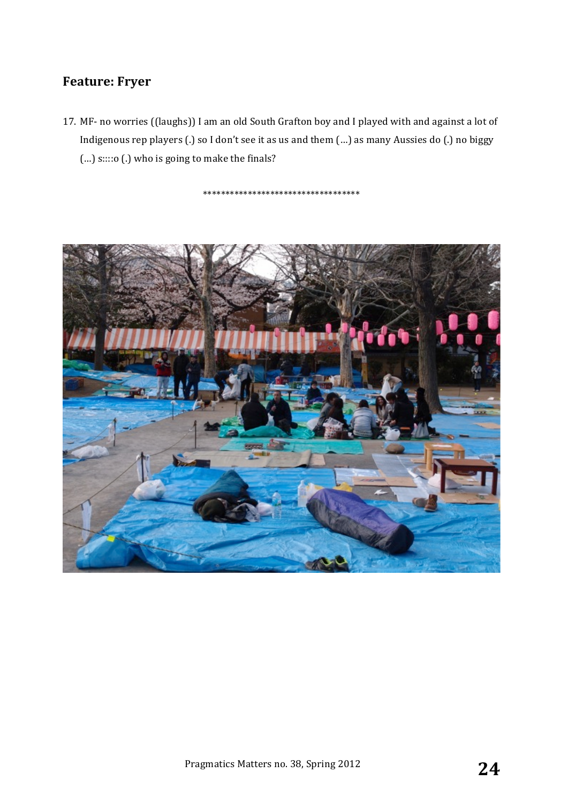17. MF- no worries ((laughs)) I am an old South Grafton boy and I played with and against a lot of Indigenous rep players (.) so I don't see it as us and them (...) as many Aussies do (.) no biggy (...) s::::o (.) who is going to make the finals?

\*\*\*\*\*\*\*\*\*\*\*\*\*\*\*\*\*\*\*\*\*\*\*\*\*\*\*\*\*\*\*\*\*\*\*